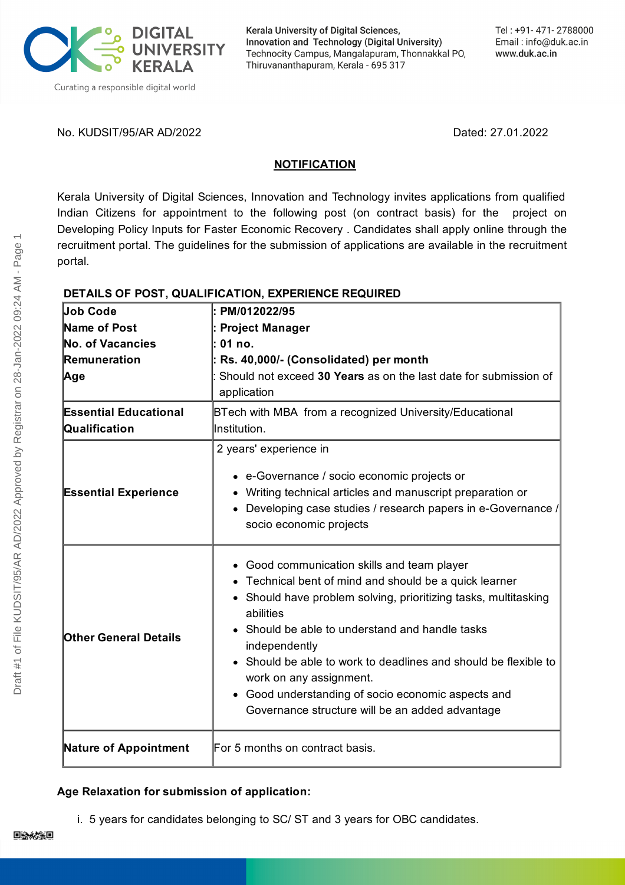

Kerala University of Digital Sciences, Innovation and Technology (Digital University) Technocity Campus, Mangalapuram, Thonnakkal PO, Thiruvananthapuram, Kerala - 695 317

No. KUDSIT/95/AR AD/2022 Dated: 27.01.2022

### **NOTIFICATION**

Kerala University of Digital Sciences, Innovation and Technology invites applications from qualified Indian Citizens for appointment to the following post (on contract basis) for the project on Developing Policy Inputs for Faster Economic Recovery . Candidates shall apply online through the recruitment portal. The guidelines for the submission of applications are available in the recruitment portal.

## **DETAILS OF POST, QUALIFICATION, EXPERIENCE REQUIRED**

| <b>Job Code</b>              | PM/012022/95                                                                           |
|------------------------------|----------------------------------------------------------------------------------------|
| Name of Post                 | <b>Project Manager</b>                                                                 |
| <b>No. of Vacancies</b>      | 01 no.                                                                                 |
| Remuneration                 | : Rs. 40,000/- (Consolidated) per month                                                |
| ∣Age                         | Should not exceed 30 Years as on the last date for submission of<br>application        |
| <b>Essential Educational</b> | BTech with MBA from a recognized University/Educational                                |
| Qualification                | Institution.                                                                           |
|                              | 2 years' experience in                                                                 |
|                              | • e-Governance / socio economic projects or                                            |
| <b>Essential Experience</b>  | Writing technical articles and manuscript preparation or                               |
|                              | Developing case studies / research papers in e-Governance /<br>socio economic projects |
|                              |                                                                                        |
|                              | • Good communication skills and team player                                            |
| <b>Other General Details</b> | • Technical bent of mind and should be a quick learner                                 |
|                              | Should have problem solving, prioritizing tasks, multitasking<br>abilities             |
|                              | Should be able to understand and handle tasks<br>independently                         |
|                              | Should be able to work to deadlines and should be flexible to                          |
|                              | work on any assignment.                                                                |
|                              | • Good understanding of socio economic aspects and                                     |
|                              | Governance structure will be an added advantage                                        |
|                              |                                                                                        |
| <b>Nature of Appointment</b> | For 5 months on contract basis.                                                        |

### **Age Relaxation for submission of application:**

i. 5 years for candidates belonging to SC/ ST and 3 years for OBC candidates.